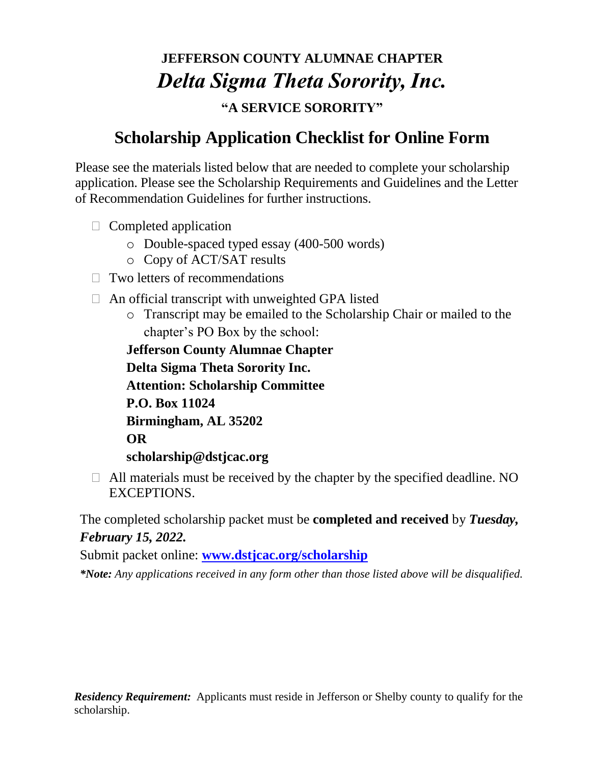# **JEFFERSON COUNTY ALUMNAE CHAPTER** *Delta Sigma Theta Sorority, Inc.* **"A SERVICE SORORITY"**

#### **Scholarship Application Checklist for Online Form**

Please see the materials listed below that are needed to complete your scholarship application. Please see the Scholarship Requirements and Guidelines and the Letter of Recommendation Guidelines for further instructions.

- $\Box$  Completed application
	- o Double-spaced typed essay (400-500 words)
	- o Copy of ACT/SAT results
- $\Box$  Two letters of recommendations
- $\Box$  An official transcript with unweighted GPA listed
	- o Transcript may be emailed to the Scholarship Chair or mailed to the chapter's PO Box by the school:

**Jefferson County Alumnae Chapter Delta Sigma Theta Sorority Inc. Attention: Scholarship Committee P.O. Box 11024 Birmingham, AL 35202 OR scholarship@dstjcac.org**

 $\Box$  All materials must be received by the chapter by the specified deadline. NO EXCEPTIONS.

The completed scholarship packet must be **completed and received** by *Tuesday, February 15, 2022.* 

Submit packet online: **[www.dstjcac.org/scholarship](http://www.dstjcac.org/scholarship)**

*\*Note: Any applications received in any form other than those listed above will be disqualified.*

*Residency Requirement:* Applicants must reside in Jefferson or Shelby county to qualify for the scholarship.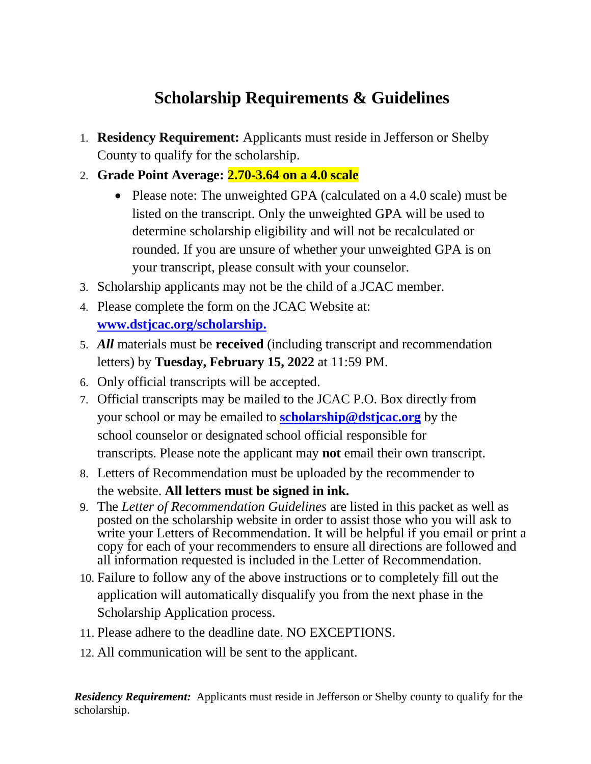### **Scholarship Requirements & Guidelines**

- 1. **Residency Requirement:** Applicants must reside in Jefferson or Shelby County to qualify for the scholarship.
- 2. **Grade Point Average: 2.70-3.64 on a 4.0 scale**
	- Please note: The unweighted GPA (calculated on a 4.0 scale) must be listed on the transcript. Only the unweighted GPA will be used to determine scholarship eligibility and will not be recalculated or rounded. If you are unsure of whether your unweighted GPA is on your transcript, please consult with your counselor.
- 3. Scholarship applicants may not be the child of a JCAC member.
- 4. Please complete the form on the JCAC Website at: **[www.dstjcac.org/scholarship.](http://www.dstjcac.org/scholarship)**
- 5. *All* materials must be **received** (including transcript and recommendation letters) by **Tuesday, February 15, 2022** at 11:59 PM.
- 6. Only official transcripts will be accepted.
- 7. Official transcripts may be mailed to the JCAC P.O. Box directly from your school or may be emailed to **[scholarship@dstjcac.org](mailto:scholarship@dstjcac.org)** by the school counselor or designated school official responsible for transcripts. Please note the applicant may **not** email their own transcript.
- 8. Letters of Recommendation must be uploaded by the recommender to the website. **All letters must be signed in ink.**
- 9. The *Letter of Recommendation Guidelines* are listed in this packet as well as posted on the scholarship website in order to assist those who you will ask to write your Letters of Recommendation. It will be helpful if you email or print a copy for each of your recommenders to ensure all directions are followed and all information requested is included in the Letter of Recommendation.
- 10. Failure to follow any of the above instructions or to completely fill out the application will automatically disqualify you from the next phase in the Scholarship Application process.
- 11. Please adhere to the deadline date. NO EXCEPTIONS.
- 12. All communication will be sent to the applicant.

*Residency Requirement:* Applicants must reside in Jefferson or Shelby county to qualify for the scholarship.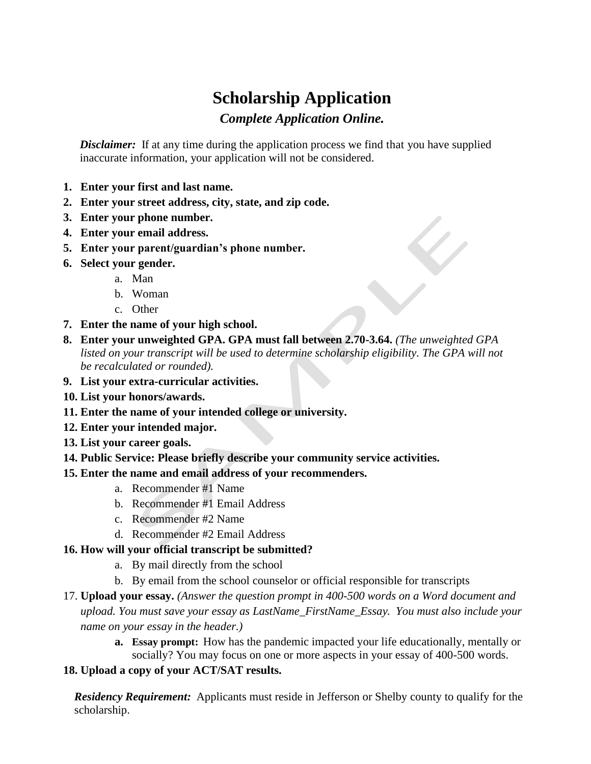# **Scholarship Application**

*Complete Application Online.*

*Disclaimer*: If at any time during the application process we find that you have supplied inaccurate information, your application will not be considered.

- **1. Enter your first and last name.**
- **2. Enter your street address, city, state, and zip code.**
- **3. Enter your phone number.**
- **4. Enter your email address.**
- **5. Enter your parent/guardian's phone number.**
- **6. Select your gender.**
	- a. Man
	- b. Woman
	- c. Other
- **7. Enter the name of your high school.**
- **8. Enter your unweighted GPA. GPA must fall between 2.70-3.64.** *(The unweighted GPA*  listed on your transcript will be used to determine scholarship eligibility. The GPA will not *be recalculated or rounded).*
- **9. List your extra-curricular activities.**
- **10. List your honors/awards.**
- **11. Enter the name of your intended college or university.**
- **12. Enter your intended major.**
- **13. List your career goals.**
- **14. Public Service: Please briefly describe your community service activities.**
- **15. Enter the name and email address of your recommenders.**
	- a. Recommender #1 Name
	- b. Recommender #1 Email Address
	- c. Recommender #2 Name
	- d. Recommender #2 Email Address
- **16. How will your official transcript be submitted?**
	- a. By mail directly from the school
	- b. By email from the school counselor or official responsible for transcripts
- 17. **Upload your essay.** *(Answer the question prompt in 400-500 words on a Word document and upload. You must save your essay as LastName\_FirstName\_Essay. You must also include your name on your essay in the header.)*
	- **a. Essay prompt:** How has the pandemic impacted your life educationally, mentally or socially? You may focus on one or more aspects in your essay of 400-500 words.

#### **18. Upload a copy of your ACT/SAT results.**

*Residency Requirement:* Applicants must reside in Jefferson or Shelby county to qualify for the scholarship.